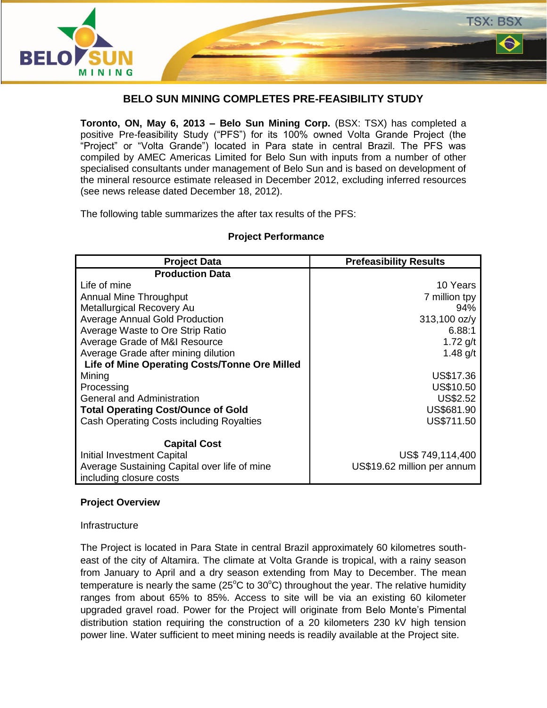

# **BELO SUN MINING COMPLETES PRE-FEASIBILITY STUDY**

**Toronto, ON, May 6, 2013 – Belo Sun Mining Corp.** (BSX: TSX) has completed a positive Pre-feasibility Study ("PFS") for its 100% owned Volta Grande Project (the "Project" or "Volta Grande") located in Para state in central Brazil. The PFS was compiled by AMEC Americas Limited for Belo Sun with inputs from a number of other specialised consultants under management of Belo Sun and is based on development of the mineral resource estimate released in December 2012, excluding inferred resources (see news release dated December 18, 2012).

The following table summarizes the after tax results of the PFS:

## **Project Performance**

| <b>Project Data</b>                           | <b>Prefeasibility Results</b> |
|-----------------------------------------------|-------------------------------|
| <b>Production Data</b>                        |                               |
| Life of mine                                  | 10 Years                      |
| Annual Mine Throughput                        | 7 million tpy                 |
| Metallurgical Recovery Au                     | 94%                           |
| <b>Average Annual Gold Production</b>         | 313,100 oz/y                  |
| Average Waste to Ore Strip Ratio              | 6.88:1                        |
| Average Grade of M&I Resource                 | 1.72 $g/t$                    |
| Average Grade after mining dilution           | 1.48 $g/t$                    |
| Life of Mine Operating Costs/Tonne Ore Milled |                               |
| Mining                                        | US\$17.36                     |
| Processing                                    | US\$10.50                     |
| <b>General and Administration</b>             | US\$2.52                      |
| <b>Total Operating Cost/Ounce of Gold</b>     | US\$681.90                    |
| Cash Operating Costs including Royalties      | US\$711.50                    |
| <b>Capital Cost</b>                           |                               |
| Initial Investment Capital                    | US\$ 749,114,400              |
| Average Sustaining Capital over life of mine  | US\$19.62 million per annum   |
| including closure costs                       |                               |

### **Project Overview**

### Infrastructure

The Project is located in Para State in central Brazil approximately 60 kilometres southeast of the city of Altamira. The climate at Volta Grande is tropical, with a rainy season from January to April and a dry season extending from May to December. The mean temperature is nearly the same ( $25^{\circ}$ C to  $30^{\circ}$ C) throughout the year. The relative humidity ranges from about 65% to 85%. Access to site will be via an existing 60 kilometer upgraded gravel road. Power for the Project will originate from Belo Monte's Pimental distribution station requiring the construction of a 20 kilometers 230 kV high tension power line. Water sufficient to meet mining needs is readily available at the Project site.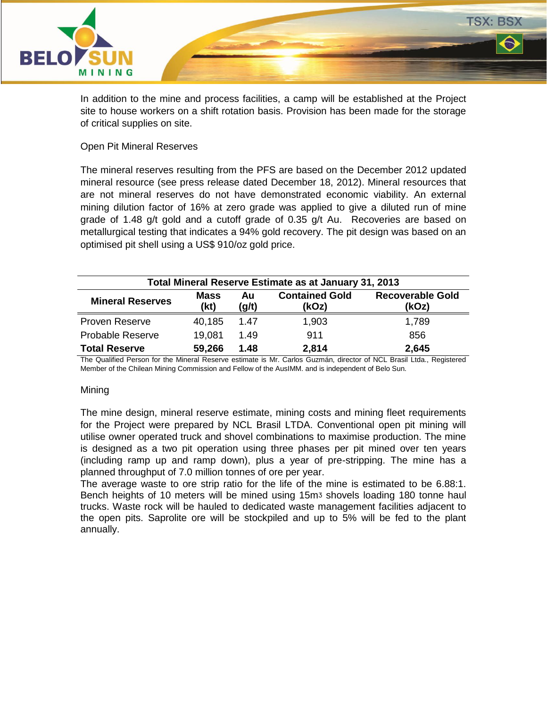

In addition to the mine and process facilities, a camp will be established at the Project site to house workers on a shift rotation basis. Provision has been made for the storage of critical supplies on site.

**TSX: BSX** 

## Open Pit Mineral Reserves

The mineral reserves resulting from the PFS are based on the December 2012 updated mineral resource (see press release dated December 18, 2012). Mineral resources that are not mineral reserves do not have demonstrated economic viability. An external mining dilution factor of 16% at zero grade was applied to give a diluted run of mine grade of 1.48 g/t gold and a cutoff grade of 0.35 g/t Au. Recoveries are based on metallurgical testing that indicates a 94% gold recovery. The pit design was based on an optimised pit shell using a US\$ 910/oz gold price.

| Total Mineral Reserve Estimate as at January 31, 2013 |                     |             |                                |                                  |
|-------------------------------------------------------|---------------------|-------------|--------------------------------|----------------------------------|
| <b>Mineral Reserves</b>                               | <b>Mass</b><br>(kt) | Au<br>(g/t) | <b>Contained Gold</b><br>(kOz) | <b>Recoverable Gold</b><br>(kOz) |
| <b>Proven Reserve</b>                                 | 40,185              | 1.47        | 1,903                          | 1,789                            |
| <b>Probable Reserve</b>                               | 19.081              | 1.49        | 911                            | 856                              |
| <b>Total Reserve</b>                                  | 59,266              | 1.48        | 2,814                          | 2,645                            |

The Qualified Person for the Mineral Reserve estimate is Mr. Carlos Guzmán, director of NCL Brasil Ltda., Registered Member of the Chilean Mining Commission and Fellow of the AusIMM. and is independent of Belo Sun.

## Mining

The mine design, mineral reserve estimate, mining costs and mining fleet requirements for the Project were prepared by NCL Brasil LTDA. Conventional open pit mining will utilise owner operated truck and shovel combinations to maximise production. The mine is designed as a two pit operation using three phases per pit mined over ten years (including ramp up and ramp down), plus a year of pre-stripping. The mine has a planned throughput of 7.0 million tonnes of ore per year.

The average waste to ore strip ratio for the life of the mine is estimated to be 6.88:1. Bench heights of 10 meters will be mined using 15m<sup>3</sup> shovels loading 180 tonne haul trucks. Waste rock will be hauled to dedicated waste management facilities adjacent to the open pits. Saprolite ore will be stockpiled and up to 5% will be fed to the plant annually.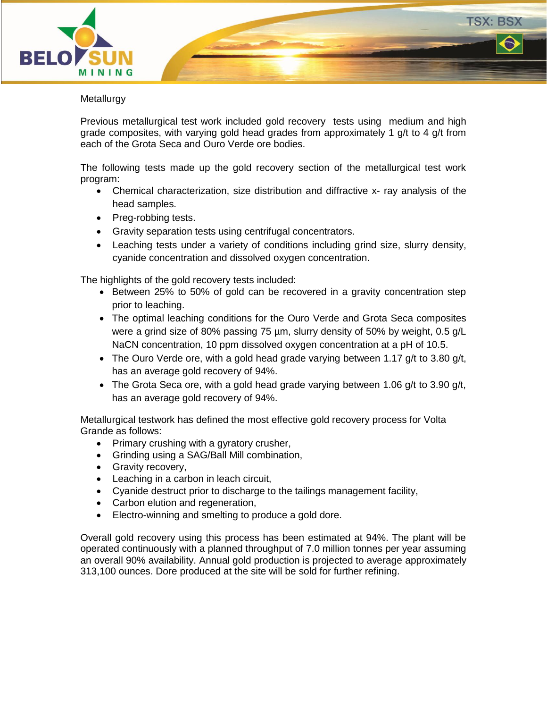

### **Metallurgy**

Previous metallurgical test work included gold recovery tests using medium and high grade composites, with varying gold head grades from approximately 1 g/t to 4 g/t from each of the Grota Seca and Ouro Verde ore bodies.

**TSX: BSX** 

The following tests made up the gold recovery section of the metallurgical test work program:

- Chemical characterization, size distribution and diffractive x- ray analysis of the head samples.
- Preg-robbing tests.
- Gravity separation tests using centrifugal concentrators.
- Leaching tests under a variety of conditions including grind size, slurry density, cyanide concentration and dissolved oxygen concentration.

The highlights of the gold recovery tests included:

- Between 25% to 50% of gold can be recovered in a gravity concentration step prior to leaching.
- The optimal leaching conditions for the Ouro Verde and Grota Seca composites were a grind size of 80% passing 75 µm, slurry density of 50% by weight, 0.5 g/L NaCN concentration, 10 ppm dissolved oxygen concentration at a pH of 10.5.
- The Ouro Verde ore, with a gold head grade varying between 1.17  $q/t$  to 3.80  $q/t$ . has an average gold recovery of 94%.
- The Grota Seca ore, with a gold head grade varying between 1.06  $q/t$  to 3.90  $q/t$ , has an average gold recovery of 94%.

Metallurgical testwork has defined the most effective gold recovery process for Volta Grande as follows:

- Primary crushing with a gyratory crusher,
- Grinding using a SAG/Ball Mill combination,
- Gravity recovery,
- Leaching in a carbon in leach circuit,
- Cyanide destruct prior to discharge to the tailings management facility,
- Carbon elution and regeneration,
- Electro-winning and smelting to produce a gold dore.

Overall gold recovery using this process has been estimated at 94%. The plant will be operated continuously with a planned throughput of 7.0 million tonnes per year assuming an overall 90% availability. Annual gold production is projected to average approximately 313,100 ounces. Dore produced at the site will be sold for further refining.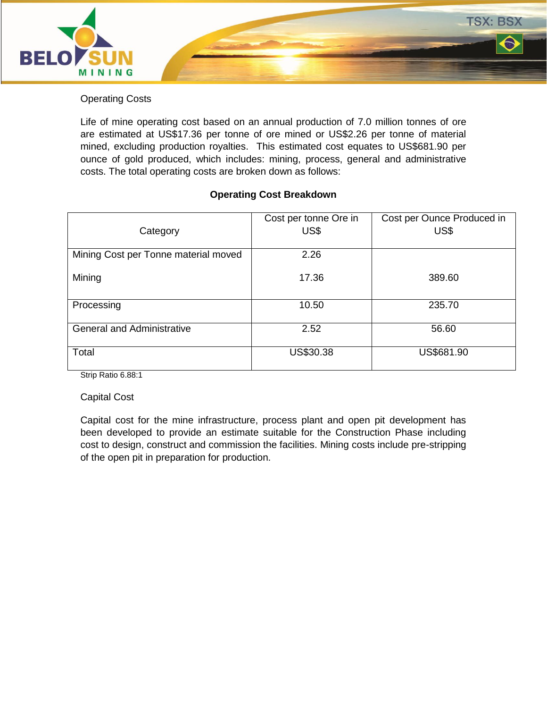

## Operating Costs

Life of mine operating cost based on an annual production of 7.0 million tonnes of ore are estimated at US\$17.36 per tonne of ore mined or US\$2.26 per tonne of material mined, excluding production royalties. This estimated cost equates to US\$681.90 per ounce of gold produced, which includes: mining, process, general and administrative costs. The total operating costs are broken down as follows:

**TSX: BSX** 

# **Operating Cost Breakdown**

| Category                             | Cost per tonne Ore in<br>US\$ | Cost per Ounce Produced in<br>US\$ |
|--------------------------------------|-------------------------------|------------------------------------|
| Mining Cost per Tonne material moved | 2.26                          |                                    |
| Mining                               | 17.36                         | 389.60                             |
| Processing                           | 10.50                         | 235.70                             |
| <b>General and Administrative</b>    | 2.52                          | 56.60                              |
| Total                                | US\$30.38                     | US\$681.90                         |

Strip Ratio 6.88:1

Capital Cost

Capital cost for the mine infrastructure, process plant and open pit development has been developed to provide an estimate suitable for the Construction Phase including cost to design, construct and commission the facilities. Mining costs include pre-stripping of the open pit in preparation for production.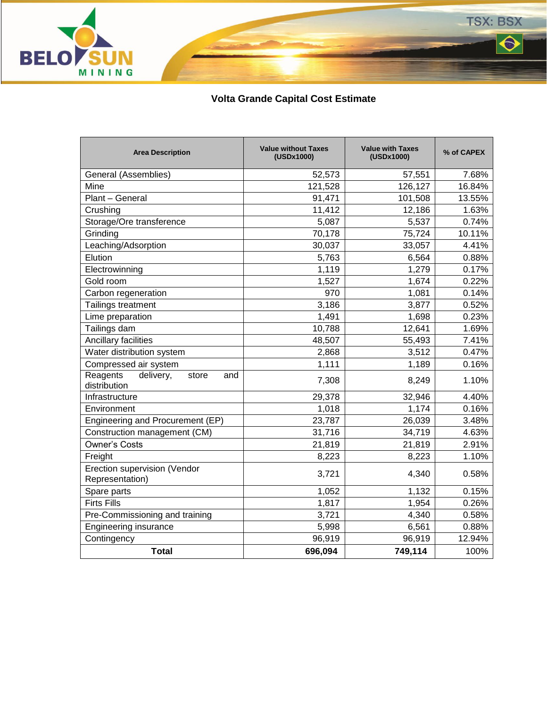

# **Volta Grande Capital Cost Estimate**

**TSX: BSX** 

 $\bigcirc$ 

| <b>Area Description</b>                               | <b>Value without Taxes</b><br>(USDx1000) | <b>Value with Taxes</b><br>(USDx1000) | % of CAPEX |
|-------------------------------------------------------|------------------------------------------|---------------------------------------|------------|
| General (Assemblies)                                  | 52,573                                   | 57,551                                | 7.68%      |
| Mine                                                  | 121,528                                  | 126,127                               | 16.84%     |
| Plant - General                                       | 91,471                                   | 101,508                               | 13.55%     |
| Crushing                                              | 11,412                                   | 12,186                                | 1.63%      |
| Storage/Ore transference                              | 5,087                                    | 5,537                                 | 0.74%      |
| Grinding                                              | 70,178                                   | 75,724                                | 10.11%     |
| Leaching/Adsorption                                   | 30,037                                   | 33,057                                | 4.41%      |
| Elution                                               | 5,763                                    | 6,564                                 | 0.88%      |
| Electrowinning                                        | 1,119                                    | 1,279                                 | 0.17%      |
| Gold room                                             | 1,527                                    | 1,674                                 | 0.22%      |
| Carbon regeneration                                   | 970                                      | 1,081                                 | 0.14%      |
| Tailings treatment                                    | 3,186                                    | 3,877                                 | 0.52%      |
| Lime preparation                                      | 1,491                                    | 1,698                                 | 0.23%      |
| Tailings dam                                          | 10,788                                   | 12,641                                | 1.69%      |
| Ancillary facilities                                  | 48,507                                   | 55,493                                | 7.41%      |
| Water distribution system                             | 2,868                                    | 3,512                                 | 0.47%      |
| Compressed air system                                 | 1,111                                    | 1,189                                 | 0.16%      |
| Reagents<br>delivery,<br>store<br>and<br>distribution | 7,308                                    | 8,249                                 | 1.10%      |
| Infrastructure                                        | 29,378                                   | 32,946                                | 4.40%      |
| Environment                                           | 1,018                                    | 1,174                                 | 0.16%      |
| Engineering and Procurement (EP)                      | 23,787                                   | 26,039                                | 3.48%      |
| Construction management (CM)                          | 31,716                                   | 34,719                                | 4.63%      |
| <b>Owner's Costs</b>                                  | 21,819                                   | 21,819                                | 2.91%      |
| Freight                                               | 8,223                                    | 8,223                                 | 1.10%      |
| Erection supervision (Vendor<br>Representation)       | 3,721                                    | 4,340                                 | 0.58%      |
| Spare parts                                           | 1,052                                    | 1,132                                 | 0.15%      |
| <b>Firts Fills</b>                                    | 1,817                                    | 1,954                                 | 0.26%      |
| Pre-Commissioning and training                        | 3,721                                    | 4,340                                 | 0.58%      |
| <b>Engineering insurance</b>                          | 5,998                                    | 6,561                                 | 0.88%      |
| Contingency                                           | 96,919                                   | 96,919                                | 12.94%     |
| <b>Total</b>                                          | 696,094                                  | 749,114                               | 100%       |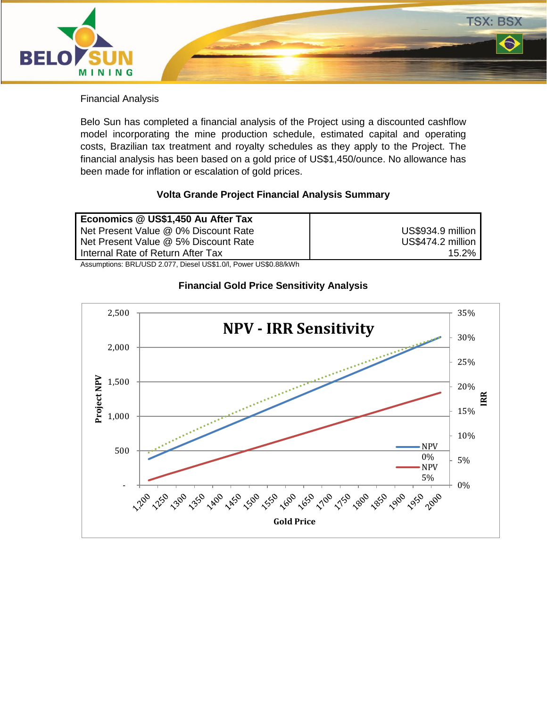

## Financial Analysis

Belo Sun has completed a financial analysis of the Project using a discounted cashflow model incorporating the mine production schedule, estimated capital and operating costs, Brazilian tax treatment and royalty schedules as they apply to the Project. The financial analysis has been based on a gold price of US\$1,450/ounce. No allowance has been made for inflation or escalation of gold prices.

## **Volta Grande Project Financial Analysis Summary**

| US\$934.9 million |
|-------------------|
| US\$474.2 million |
| 15.2%             |
|                   |

Assumptions: BRL/USD 2.077, Diesel US\$1.0/l, Power US\$0.88/kWh



## **Financial Gold Price Sensitivity Analysis**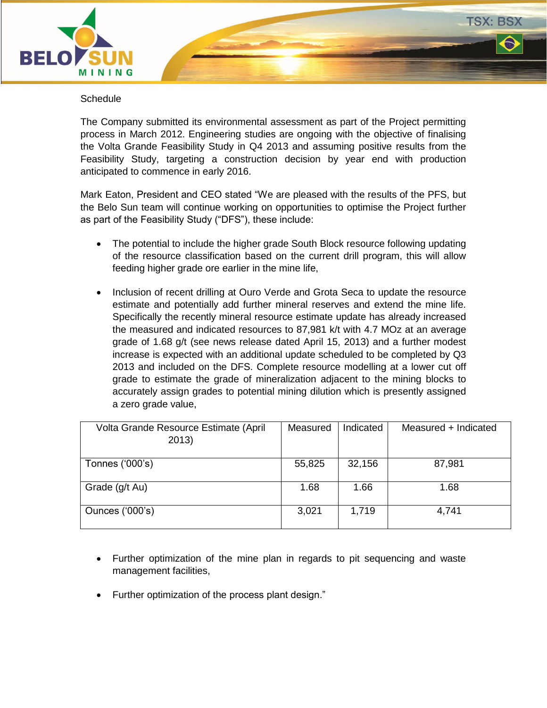

### **Schedule**

The Company submitted its environmental assessment as part of the Project permitting process in March 2012. Engineering studies are ongoing with the objective of finalising the Volta Grande Feasibility Study in Q4 2013 and assuming positive results from the Feasibility Study, targeting a construction decision by year end with production anticipated to commence in early 2016.

**TSX: BSX** 

Mark Eaton, President and CEO stated "We are pleased with the results of the PFS, but the Belo Sun team will continue working on opportunities to optimise the Project further as part of the Feasibility Study ("DFS"), these include:

- The potential to include the higher grade South Block resource following updating of the resource classification based on the current drill program, this will allow feeding higher grade ore earlier in the mine life,
- Inclusion of recent drilling at Ouro Verde and Grota Seca to update the resource estimate and potentially add further mineral reserves and extend the mine life. Specifically the recently mineral resource estimate update has already increased the measured and indicated resources to 87,981 k/t with 4.7 MOz at an average grade of 1.68 g/t (see news release dated April 15, 2013) and a further modest increase is expected with an additional update scheduled to be completed by Q3 2013 and included on the DFS. Complete resource modelling at a lower cut off grade to estimate the grade of mineralization adjacent to the mining blocks to accurately assign grades to potential mining dilution which is presently assigned a zero grade value,

| Volta Grande Resource Estimate (April | Measured | Indicated | Measured + Indicated |
|---------------------------------------|----------|-----------|----------------------|
| 2013)                                 |          |           |                      |
| Tonnes ('000's)                       | 55,825   | 32,156    | 87,981               |
| Grade (g/t Au)                        | 1.68     | 1.66      | 1.68                 |
| Ounces ('000's)                       | 3,021    | 1,719     | 4,741                |

- Further optimization of the mine plan in regards to pit sequencing and waste management facilities,
- Further optimization of the process plant design."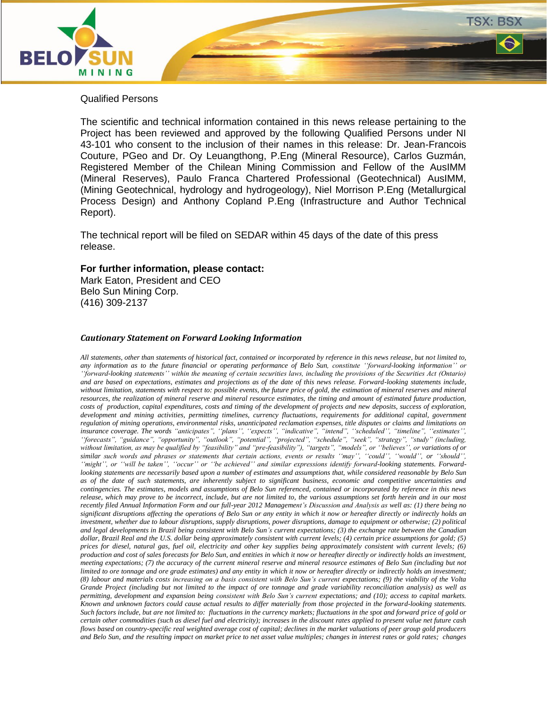

### Qualified Persons

The scientific and technical information contained in this news release pertaining to the Project has been reviewed and approved by the following Qualified Persons under NI 43-101 who consent to the inclusion of their names in this release: Dr. Jean-Francois Couture, PGeo and Dr. Oy Leuangthong, P.Eng (Mineral Resource), Carlos Guzmán, Registered Member of the Chilean Mining Commission and Fellow of the AusIMM (Mineral Reserves), Paulo Franca Chartered Professional (Geotechnical) AusIMM, (Mining Geotechnical, hydrology and hydrogeology), Niel Morrison P.Eng (Metallurgical Process Design) and Anthony Copland P.Eng (Infrastructure and Author Technical Report).

**TSX: BSX** 

The technical report will be filed on SEDAR within 45 days of the date of this press release.

### **For further information, please contact:**

Mark Eaton, President and CEO Belo Sun Mining Corp. (416) 309-2137

#### *Cautionary Statement on Forward Looking Information*

*All statements, other than statements of historical fact, contained or incorporated by reference in this news release, but not limited to, any information as to the future financial or operating performance of Belo Sun, constitute ''forward-looking information'' or ''forward-looking statements'' within the meaning of certain securities laws, including the provisions of the Securities Act (Ontario) and are based on expectations, estimates and projections as of the date of this news release. Forward-looking statements include,*  without limitation, statements with respect to: possible events, the future price of gold, the estimation of mineral reserves and mineral *resources, the realization of mineral reserve and mineral resource estimates, the timing and amount of estimated future production, costs of production, capital expenditures, costs and timing of the development of projects and new deposits, success of exploration,*  development and mining activities, permitting timelines, currency fluctuations, requirements for additional capital, government *regulation of mining operations, environmental risks, unanticipated reclamation expenses, title disputes or claims and limitations on insurance coverage. The words "anticipates", ''plans'', ''expects'', "indicative", "intend", ''scheduled'', "timeline", ''estimates'', ''forecasts", "guidance", "opportunity", "outlook", "potential", "projected", "schedule", "seek", "strategy", "study" (including, without limitation, as may be qualified by "feasibility" and "pre-feasibility"), "targets", "models", or ''believes'', or variations of or similar such words and phrases or statements that certain actions, events or results ''may'', ''could'', ''would'', or ''should'', ''might'', or ''will be taken'', ''occur'' or ''be achieved'' and similar expressions identify forward-looking statements. Forwardlooking statements are necessarily based upon a number of estimates and assumptions that, while considered reasonable by Belo Sun as of the date of such statements, are inherently subject to significant business, economic and competitive uncertainties and contingencies. The estimates, models and assumptions of Belo Sun referenced, contained or incorporated by reference in this news release, which may prove to be incorrect, include, but are not limited to, the various assumptions set forth herein and in our most recently filed Annual Information Form and our full-year 2012 Management's Discussion and Analysis as well as: (1) there being no significant disruptions affecting the operations of Belo Sun or any entity in which it now or hereafter directly or indirectly holds an investment, whether due to labour disruptions, supply disruptions, power disruptions, damage to equipment or otherwise; (2) political and legal developments in Brazil being consistent with Belo Sun's current expectations; (3) the exchange rate between the Canadian dollar, Brazil Real and the U.S. dollar being approximately consistent with current levels; (4) certain price assumptions for gold; (5) prices for diesel, natural gas, fuel oil, electricity and other key supplies being approximately consistent with current levels; (6) production and cost of sales forecasts for Belo Sun, and entities in which it now or hereafter directly or indirectly holds an investment, meeting expectations; (7) the accuracy of the current mineral reserve and mineral resource estimates of Belo Sun (including but not limited to ore tonnage and ore grade estimates) and any entity in which it now or hereafter directly or indirectly holds an investment; (8) labour and materials costs increasing on a basis consistent with Belo Sun's current expectations; (9) the viability of the Volta Grande Project (including but not limited to the impact of ore tonnage and grade variability reconciliation analysis) as well as permitting, development and expansion being consistent with Belo Sun's current expectations; and (10); access to capital markets. Known and unknown factors could cause actual results to differ materially from those projected in the forward-looking statements. Such factors include, but are not limited to: fluctuations in the currency markets; fluctuations in the spot and forward price of gold or certain other commodities (such as diesel fuel and electricity); increases in the discount rates applied to present value net future cash flows based on country-specific real weighted average cost of capital; declines in the market valuations of peer group gold producers and Belo Sun, and the resulting impact on market price to net asset value multiples; changes in interest rates or gold rates; changes*